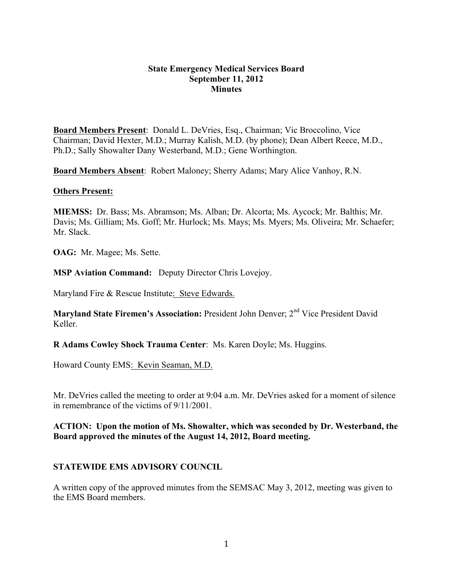### **State Emergency Medical Services Board September 11, 2012 Minutes**

**Board Members Present**: Donald L. DeVries, Esq., Chairman; Vic Broccolino, Vice Chairman; David Hexter, M.D.; Murray Kalish, M.D. (by phone); Dean Albert Reece, M.D., Ph.D.; Sally Showalter Dany Westerband, M.D.; Gene Worthington.

**Board Members Absent**: Robert Maloney; Sherry Adams; Mary Alice Vanhoy, R.N.

### **Others Present:**

**MIEMSS:** Dr. Bass; Ms. Abramson; Ms. Alban; Dr. Alcorta; Ms. Aycock; Mr. Balthis; Mr. Davis; Ms. Gilliam; Ms. Goff; Mr. Hurlock; Ms. Mays; Ms. Myers; Ms. Oliveira; Mr. Schaefer; Mr. Slack.

**OAG:** Mr. Magee; Ms. Sette.

**MSP Aviation Command:** Deputy Director Chris Lovejoy.

Maryland Fire & Rescue Institute: Steve Edwards.

Maryland State Firemen's Association: President John Denver; 2<sup>nd</sup> Vice President David Keller.

**R Adams Cowley Shock Trauma Center**: Ms. Karen Doyle; Ms. Huggins.

Howard County EMS: Kevin Seaman, M.D.

Mr. DeVries called the meeting to order at 9:04 a.m. Mr. DeVries asked for a moment of silence in remembrance of the victims of 9/11/2001.

### **ACTION: Upon the motion of Ms. Showalter, which was seconded by Dr. Westerband, the Board approved the minutes of the August 14, 2012, Board meeting.**

### **STATEWIDE EMS ADVISORY COUNCIL**

A written copy of the approved minutes from the SEMSAC May 3, 2012, meeting was given to the EMS Board members.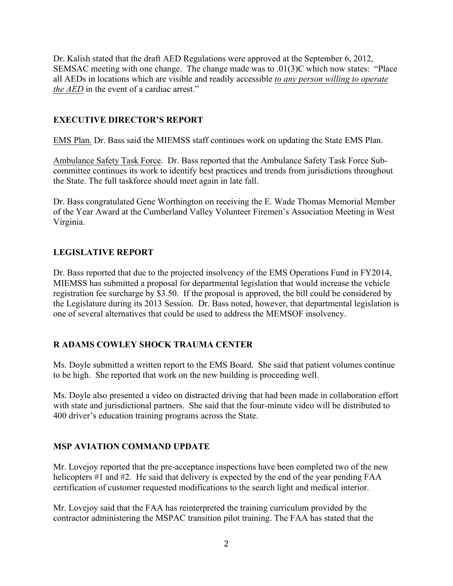Dr. Kalish stated that the draft AED Regulations were approved at the September 6, 2012, SEMSAC meeting with one change. The change made was to .01(3)C which now states: "Place all AEDs in locations which are visible and readily accessible *to any person willing to operate the AED* in the event of a cardiac arrest."

## **EXECUTIVE DIRECTOR'S REPORT**

EMS Plan. Dr. Bass said the MIEMSS staff continues work on updating the State EMS Plan.

Ambulance Safety Task Force. Dr. Bass reported that the Ambulance Safety Task Force Subcommittee continues its work to identify best practices and trends from jurisdictions throughout the State. The full taskforce should meet again in late fall.

Dr. Bass congratulated Gene Worthington on receiving the E. Wade Thomas Memorial Member of the Year Award at the Cumberland Valley Volunteer Firemen's Association Meeting in West Virginia.

# **LEGISLATIVE REPORT**

Dr. Bass reported that due to the projected insolvency of the EMS Operations Fund in FY2014, MIEMSS has submitted a proposal for departmental legislation that would increase the vehicle registration fee surcharge by \$3.50. If the proposal is approved, the bill could be considered by the Legislature during its 2013 Session. Dr. Bass noted, however, that departmental legislation is one of several alternatives that could be used to address the MEMSOF insolvency.

## **R ADAMS COWLEY SHOCK TRAUMA CENTER**

Ms. Doyle submitted a written report to the EMS Board. She said that patient volumes continue to be high. She reported that work on the new building is proceeding well.

Ms. Doyle also presented a video on distracted driving that had been made in collaboration effort with state and jurisdictional partners. She said that the four-minute video will be distributed to 400 driver's education training programs across the State.

## **MSP AVIATION COMMAND UPDATE**

Mr. Lovejoy reported that the pre-acceptance inspections have been completed two of the new helicopters #1 and #2. He said that delivery is expected by the end of the year pending FAA certification of customer requested modifications to the search light and medical interior.

Mr. Lovejoy said that the FAA has reinterpreted the training curriculum provided by the contractor administering the MSPAC transition pilot training. The FAA has stated that the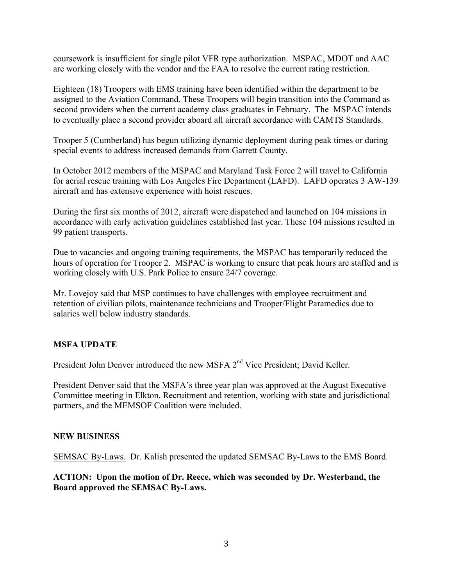coursework is insufficient for single pilot VFR type authorization. MSPAC, MDOT and AAC are working closely with the vendor and the FAA to resolve the current rating restriction.

Eighteen (18) Troopers with EMS training have been identified within the department to be assigned to the Aviation Command. These Troopers will begin transition into the Command as second providers when the current academy class graduates in February. The MSPAC intends to eventually place a second provider aboard all aircraft accordance with CAMTS Standards.

Trooper 5 (Cumberland) has begun utilizing dynamic deployment during peak times or during special events to address increased demands from Garrett County.

In October 2012 members of the MSPAC and Maryland Task Force 2 will travel to California for aerial rescue training with Los Angeles Fire Department (LAFD). LAFD operates 3 AW-139 aircraft and has extensive experience with hoist rescues.

During the first six months of 2012, aircraft were dispatched and launched on 104 missions in accordance with early activation guidelines established last year. These 104 missions resulted in 99 patient transports.

Due to vacancies and ongoing training requirements, the MSPAC has temporarily reduced the hours of operation for Trooper 2. MSPAC is working to ensure that peak hours are staffed and is working closely with U.S. Park Police to ensure 24/7 coverage.

Mr. Lovejoy said that MSP continues to have challenges with employee recruitment and retention of civilian pilots, maintenance technicians and Trooper/Flight Paramedics due to salaries well below industry standards.

## **MSFA UPDATE**

President John Denver introduced the new MSFA 2<sup>nd</sup> Vice President; David Keller.

President Denver said that the MSFA's three year plan was approved at the August Executive Committee meeting in Elkton. Recruitment and retention, working with state and jurisdictional partners, and the MEMSOF Coalition were included.

### **NEW BUSINESS**

SEMSAC By-Laws. Dr. Kalish presented the updated SEMSAC By-Laws to the EMS Board.

**ACTION: Upon the motion of Dr. Reece, which was seconded by Dr. Westerband, the Board approved the SEMSAC By-Laws.**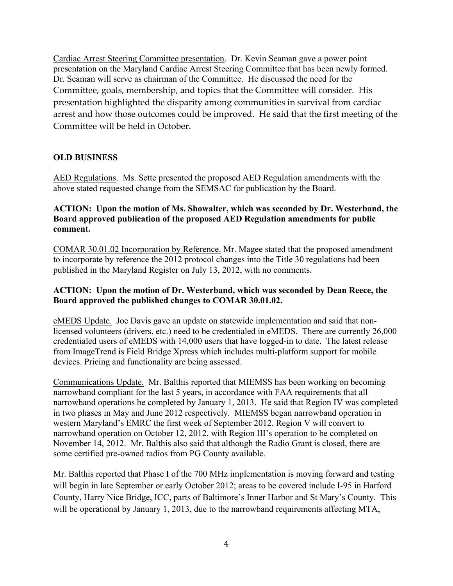Cardiac Arrest Steering Committee presentation. Dr. Kevin Seaman gave a power point presentation on the Maryland Cardiac Arrest Steering Committee that has been newly formed. Dr. Seaman will serve as chairman of the Committee. He discussed the need for the Committee, goals, membership, and topics that the Committee will consider. His presentation highlighted the disparity among communities in survival from cardiac arrest and how those outcomes could be improved. He said that the first meeting of the Committee will be held in October.

# **OLD BUSINESS**

AED Regulations. Ms. Sette presented the proposed AED Regulation amendments with the above stated requested change from the SEMSAC for publication by the Board.

## **ACTION: Upon the motion of Ms. Showalter, which was seconded by Dr. Westerband, the Board approved publication of the proposed AED Regulation amendments for public comment.**

COMAR 30.01.02 Incorporation by Reference. Mr. Magee stated that the proposed amendment to incorporate by reference the 2012 protocol changes into the Title 30 regulations had been published in the Maryland Register on July 13, 2012, with no comments.

## **ACTION: Upon the motion of Dr. Westerband, which was seconded by Dean Reece, the Board approved the published changes to COMAR 30.01.02.**

eMEDS Update. Joe Davis gave an update on statewide implementation and said that nonlicensed volunteers (drivers, etc.) need to be credentialed in eMEDS. There are currently 26,000 credentialed users of eMEDS with 14,000 users that have logged-in to date. The latest release from ImageTrend is Field Bridge Xpress which includes multi-platform support for mobile devices. Pricing and functionality are being assessed.

Communications Update. Mr. Balthis reported that MIEMSS has been working on becoming narrowband compliant for the last 5 years, in accordance with FAA requirements that all narrowband operations be completed by January 1, 2013. He said that Region IV was completed in two phases in May and June 2012 respectively. MIEMSS began narrowband operation in western Maryland's EMRC the first week of September 2012. Region V will convert to narrowband operation on October 12, 2012, with Region III's operation to be completed on November 14, 2012. Mr. Balthis also said that although the Radio Grant is closed, there are some certified pre-owned radios from PG County available.

Mr. Balthis reported that Phase I of the 700 MHz implementation is moving forward and testing will begin in late September or early October 2012; areas to be covered include I-95 in Harford County, Harry Nice Bridge, ICC, parts of Baltimore's Inner Harbor and St Mary's County. This will be operational by January 1, 2013, due to the narrowband requirements affecting MTA,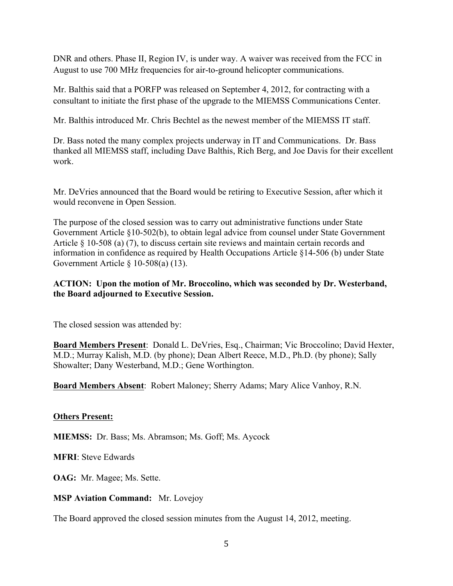DNR and others. Phase II, Region IV, is under way. A waiver was received from the FCC in August to use 700 MHz frequencies for air-to-ground helicopter communications.

Mr. Balthis said that a PORFP was released on September 4, 2012, for contracting with a consultant to initiate the first phase of the upgrade to the MIEMSS Communications Center.

Mr. Balthis introduced Mr. Chris Bechtel as the newest member of the MIEMSS IT staff.

Dr. Bass noted the many complex projects underway in IT and Communications. Dr. Bass thanked all MIEMSS staff, including Dave Balthis, Rich Berg, and Joe Davis for their excellent work.

Mr. DeVries announced that the Board would be retiring to Executive Session, after which it would reconvene in Open Session.

The purpose of the closed session was to carry out administrative functions under State Government Article §10-502(b), to obtain legal advice from counsel under State Government Article § 10-508 (a) (7), to discuss certain site reviews and maintain certain records and information in confidence as required by Health Occupations Article §14-506 (b) under State Government Article § 10-508(a) (13).

## **ACTION: Upon the motion of Mr. Broccolino, which was seconded by Dr. Westerband, the Board adjourned to Executive Session.**

The closed session was attended by:

**Board Members Present**: Donald L. DeVries, Esq., Chairman; Vic Broccolino; David Hexter, M.D.; Murray Kalish, M.D. (by phone); Dean Albert Reece, M.D., Ph.D. (by phone); Sally Showalter; Dany Westerband, M.D.; Gene Worthington.

**Board Members Absent**: Robert Maloney; Sherry Adams; Mary Alice Vanhoy, R.N.

### **Others Present:**

**MIEMSS:** Dr. Bass; Ms. Abramson; Ms. Goff; Ms. Aycock

**MFRI**: Steve Edwards

**OAG:** Mr. Magee; Ms. Sette.

### **MSP Aviation Command:** Mr. Lovejoy

The Board approved the closed session minutes from the August 14, 2012, meeting.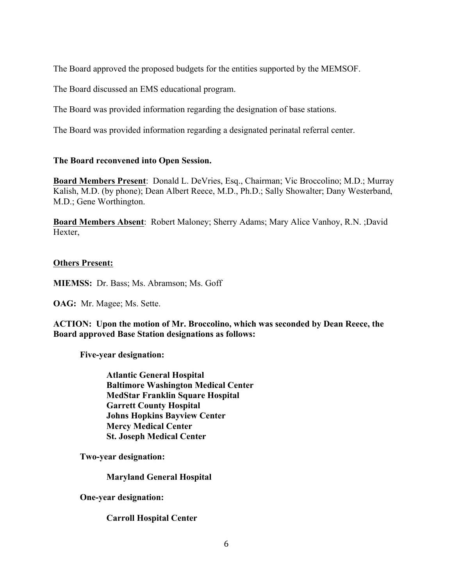The Board approved the proposed budgets for the entities supported by the MEMSOF.

The Board discussed an EMS educational program.

The Board was provided information regarding the designation of base stations.

The Board was provided information regarding a designated perinatal referral center.

### **The Board reconvened into Open Session.**

**Board Members Present**: Donald L. DeVries, Esq., Chairman; Vic Broccolino; M.D.; Murray Kalish, M.D. (by phone); Dean Albert Reece, M.D., Ph.D.; Sally Showalter; Dany Westerband, M.D.; Gene Worthington.

**Board Members Absent**: Robert Maloney; Sherry Adams; Mary Alice Vanhoy, R.N. ;David Hexter,

### **Others Present:**

**MIEMSS:** Dr. Bass; Ms. Abramson; Ms. Goff

**OAG:** Mr. Magee; Ms. Sette.

**ACTION: Upon the motion of Mr. Broccolino, which was seconded by Dean Reece, the Board approved Base Station designations as follows:**

**Five-year designation:**

**Atlantic General Hospital Baltimore Washington Medical Center MedStar Franklin Square Hospital Garrett County Hospital Johns Hopkins Bayview Center Mercy Medical Center St. Joseph Medical Center**

**Two-year designation:**

**Maryland General Hospital**

**One-year designation:**

**Carroll Hospital Center**